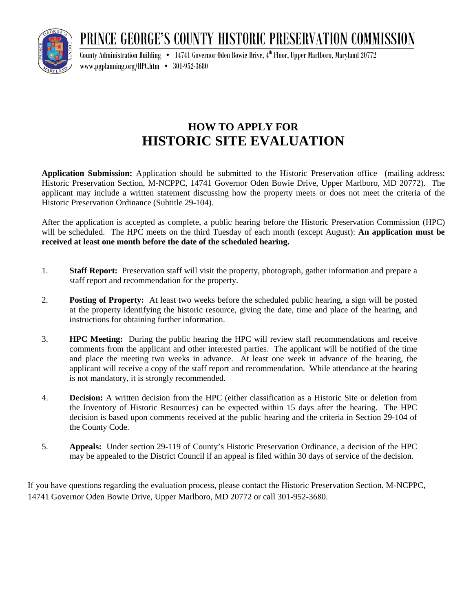PRINCE GEORGE'S COUNTY HISTORIC PRESERVATION COMMISSION



County Administration Building  $\bullet$   $\,$   $\,$  14741 Governor Oden Bowie Drive, 4th Floor, Upper Marlboro, Maryland 20772 [www.pgplanning.org/HPC](http://www.pgplanning.org/HPC.htm).htm • 301-952-3680

## **HOW TO APPLY FOR HISTORIC SITE EVALUATION**

**Application Submission:** Application should be submitted to the Historic Preservation office (mailing address: Historic Preservation Section, M-NCPPC, 14741 Governor Oden Bowie Drive, Upper Marlboro, MD 20772). The applicant may include a written statement discussing how the property meets or does not meet the criteria of the Historic Preservation Ordinance (Subtitle 29-104).

After the application is accepted as complete, a public hearing before the Historic Preservation Commission (HPC) will be scheduled. The HPC meets on the third Tuesday of each month (except August): **An application must be received at least one month before the date of the scheduled hearing.**

- 1. **Staff Report:** Preservation staff will visit the property, photograph, gather information and prepare a staff report and recommendation for the property.
- 2. **Posting of Property:** At least two weeks before the scheduled public hearing, a sign will be posted at the property identifying the historic resource, giving the date, time and place of the hearing, and instructions for obtaining further information.
- 3. **HPC Meeting:** During the public hearing the HPC will review staff recommendations and receive comments from the applicant and other interested parties. The applicant will be notified of the time and place the meeting two weeks in advance. At least one week in advance of the hearing, the applicant will receive a copy of the staff report and recommendation. While attendance at the hearing is not mandatory, it is strongly recommended.
- 4. **Decision:** A written decision from the HPC (either classification as a Historic Site or deletion from the Inventory of Historic Resources) can be expected within 15 days after the hearing. The HPC decision is based upon comments received at the public hearing and the criteria in Section 29-104 of the County Code.
- 5. **Appeals:** Under section 29-119 of County's Historic Preservation Ordinance, a decision of the HPC may be appealed to the District Council if an appeal is filed within 30 days of service of the decision.

If you have questions regarding the evaluation process, please contact the Historic Preservation Section, M-NCPPC, 14741 Governor Oden Bowie Drive, Upper Marlboro, MD 20772 or call 301-952-3680.